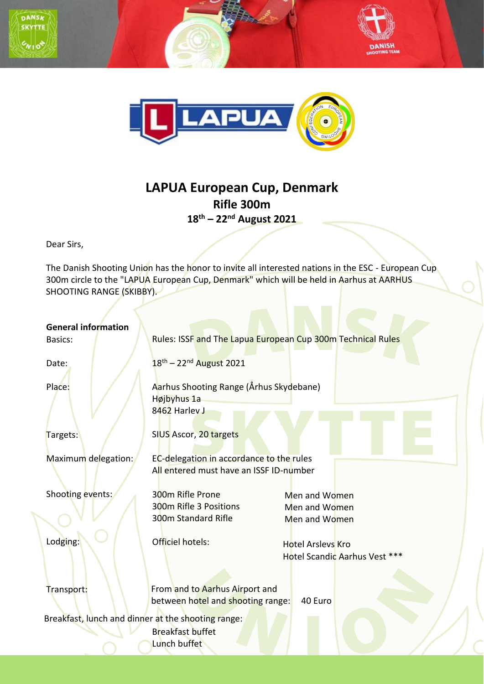



## **LAPUA European Cup, Denmark Rifle 300m 18 th – 22nd August 2021**

Dear Sirs,

The Danish Shooting Union has the honor to invite all interested nations in the ESC - European Cup 300m circle to the "LAPUA European Cup, Denmark" which will be held in Aarhus at AARHUS SHOOTING RANGE (SKIBBY).

| <b>General information</b><br>Basics:              | Rules: ISSF and The Lapua European Cup 300m Technical Rules                         |                                                           |  |
|----------------------------------------------------|-------------------------------------------------------------------------------------|-----------------------------------------------------------|--|
| Date:                                              | $18^{th} - 22^{nd}$ August 2021                                                     |                                                           |  |
| Place:                                             | Aarhus Shooting Range (Århus Skydebane)<br>Højbyhus 1a<br>8462 Harley J             |                                                           |  |
| Targets:                                           | SIUS Ascor, 20 targets                                                              |                                                           |  |
| Maximum delegation:                                | EC-delegation in accordance to the rules<br>All entered must have an ISSF ID-number |                                                           |  |
| Shooting events:                                   | 300m Rifle Prone<br>300m Rifle 3 Positions<br>300m Standard Rifle                   | Men and Women<br>Men and Women<br>Men and Women           |  |
| Lodging:                                           | Officiel hotels:                                                                    | <b>Hotel Arsleys Kro</b><br>Hotel Scandic Aarhus Vest *** |  |
| Transport:                                         | From and to Aarhus Airport and<br>between hotel and shooting range:                 | 40 Euro                                                   |  |
| Breakfast, lunch and dinner at the shooting range: | <b>Breakfast buffet</b><br>Lunch buffet                                             |                                                           |  |